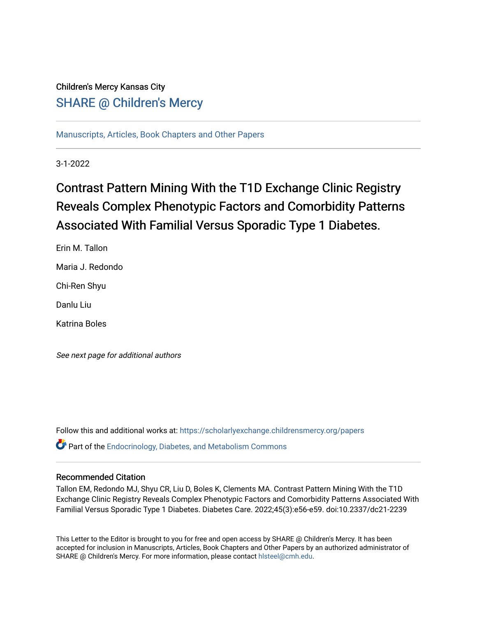## Children's Mercy Kansas City SHARE @ Children's Mercy

[Manuscripts, Articles, Book Chapters and Other Papers](https://scholarlyexchange.childrensmercy.org/papers)

3-1-2022

# Contrast Pattern Mining With the T1D Exchange Clinic Registry Reveals Complex Phenotypic Factors and Comorbidity Patterns Associated With Familial Versus Sporadic Type 1 Diabetes.

Erin M. Tallon Maria J. Redondo

Chi-Ren Shyu

Danlu Liu

Katrina Boles

See next page for additional authors

Follow this and additional works at: [https://scholarlyexchange.childrensmercy.org/papers](https://scholarlyexchange.childrensmercy.org/papers?utm_source=scholarlyexchange.childrensmercy.org%2Fpapers%2F4329&utm_medium=PDF&utm_campaign=PDFCoverPages)  Part of the [Endocrinology, Diabetes, and Metabolism Commons](http://network.bepress.com/hgg/discipline/686?utm_source=scholarlyexchange.childrensmercy.org%2Fpapers%2F4329&utm_medium=PDF&utm_campaign=PDFCoverPages)

#### Recommended Citation

Tallon EM, Redondo MJ, Shyu CR, Liu D, Boles K, Clements MA. Contrast Pattern Mining With the T1D Exchange Clinic Registry Reveals Complex Phenotypic Factors and Comorbidity Patterns Associated With Familial Versus Sporadic Type 1 Diabetes. Diabetes Care. 2022;45(3):e56-e59. doi:10.2337/dc21-2239

This Letter to the Editor is brought to you for free and open access by SHARE @ Children's Mercy. It has been accepted for inclusion in Manuscripts, Articles, Book Chapters and Other Papers by an authorized administrator of SHARE @ Children's Mercy. For more information, please contact [hlsteel@cmh.edu](mailto:hlsteel@cmh.edu).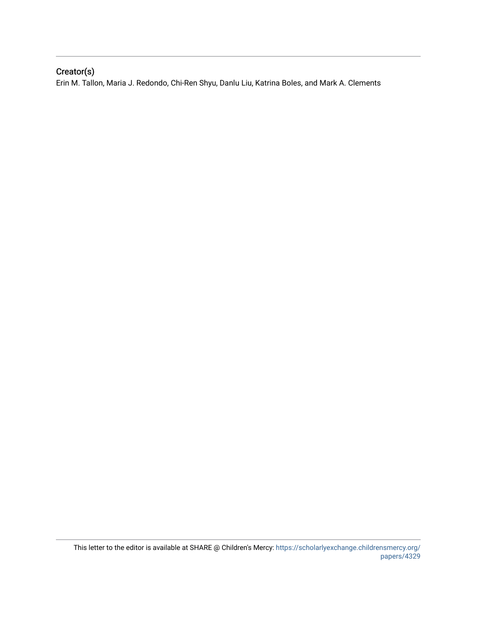### Creator(s)

Erin M. Tallon, Maria J. Redondo, Chi-Ren Shyu, Danlu Liu, Katrina Boles, and Mark A. Clements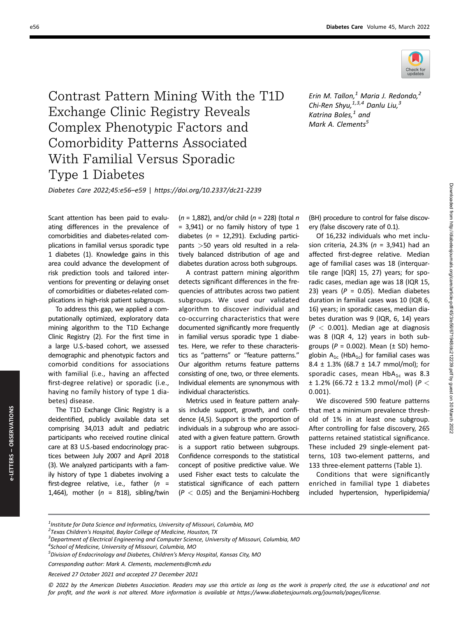

Contrast Pattern Mining With the T1D Exchange Clinic Registry Reveals Complex Phenotypic Factors and Comorbidity Patterns Associated With Familial Versus Sporadic Type 1 Diabetes

Erin M. Tallon, $^1$  Maria J. Redondo, $^2$ Chi-Ren Shyu, $^{1,3,4}$  Danlu Liu, $^3$ Katrina Boles, $^1$  and Mark A. Clements<sup>5</sup>

Diabetes Care 2022;45:e56–e59 | https://doi.org/10.2337/dc21-2239

Scant attention has been paid to evaluating differences in the prevalence of comorbidities and diabetes-related complications in familial versus sporadic type 1 diabetes (1). Knowledge gains in this area could advance the development of risk prediction tools and tailored interventions for preventing or delaying onset of comorbidities or diabetes-related complications in high-risk patient subgroups.

To address this gap, we applied a computationally optimized, exploratory data mining algorithm to the T1D Exchange Clinic Registry (2). For the first time in a large U.S.-based cohort, we assessed demographic and phenotypic factors and comorbid conditions for associations with familial (i.e., having an affected first-degree relative) or sporadic (i.e., having no family history of type 1 diabetes) disease.

The T1D Exchange Clinic Registry is a deidentified, publicly available data set comprising 34,013 adult and pediatric participants who received routine clinical care at 83 U.S.-based endocrinology practices between July 2007 and April 2018 (3). We analyzed participants with a family history of type 1 diabetes involving a first-degree relative, i.e., father  $(n =$ 1,464), mother ( $n = 818$ ), sibling/twin

 $(n = 1,882)$ , and/or child  $(n = 228)$  (total n = 3,941) or no family history of type 1 diabetes ( $n = 12,291$ ). Excluding participants >50 years old resulted in a relatively balanced distribution of age and diabetes duration across both subgroups.

A contrast pattern mining algorithm detects significant differences in the frequencies of attributes across two patient subgroups. We used our validated algorithm to discover individual and co-occurring characteristics that were documented significantly more frequently in familial versus sporadic type 1 diabetes. Here, we refer to these characteristics as "patterns" or "feature patterns." Our algorithm returns feature patterns consisting of one, two, or three elements. Individual elements are synonymous with individual characteristics.

Metrics used in feature pattern analysis include support, growth, and confidence (4,5). Support is the proportion of individuals in a subgroup who are associated with a given feature pattern. Growth is a support ratio between subgroups. Confidence corresponds to the statistical concept of positive predictive value. We used Fisher exact tests to calculate the statistical significance of each pattern  $(P < 0.05)$  and the Benjamini-Hochberg

(BH) procedure to control for false discovery (false discovery rate of 0.1).

Of 16,232 individuals who met inclusion criteria, 24.3% ( $n = 3,941$ ) had an affected first-degree relative. Median age of familial cases was 18 (interquartile range [IQR] 15, 27) years; for sporadic cases, median age was 18 (IQR 15, 23) years ( $P = 0.05$ ). Median diabetes duration in familial cases was 10 (IQR 6, 16) years; in sporadic cases, median diabetes duration was 9 (IQR, 6, 14) years  $(P < 0.001)$ . Median age at diagnosis was 8 (IQR 4, 12) years in both subgroups ( $P = 0.002$ ). Mean ( $\pm$  SD) hemoglobin  $A_{1c}$  (Hb $A_{1c}$ ) for familial cases was 8.4 ± 1.3% (68.7 ± 14.7 mmol/mol); for sporadic cases, mean  $HbA_{1c}$  was 8.3  $± 1.2% (66.72 ± 13.2 mmol/mol) (P <$ 0.001).

Downloaded from http://diabetesjournals.org/care/article-pdf/45/3/e56/671948/dc212239.pdf by guest on 30 March 2022

Downloaded from http://diabetesjournals.org/care/article-pdf/45/3/e56/671948/dc212239.pdf by guest on 30 March 2022

We discovered 590 feature patterns that met a minimum prevalence threshold of 1% in at least one subgroup. After controlling for false discovery, 265 patterns retained statistical significance. These included 29 single-element patterns, 103 two-element patterns, and 133 three-element patterns (Table 1).

Conditions that were significantly enriched in familial type 1 diabetes included hypertension, hyperlipidemia/

<sup>3</sup> Department of Electrical Engineering and Computer Science, University of Missouri, Columbia, MO

Received 27 October 2021 and accepted 27 December 2021

4 School of Medicine, University of Missouri, Columbia, MO

<sup>2</sup> Texas Children's Hospital, Baylor College of Medicine, Houston, TX

 $^{\rm 1}$ Institute for Data Science and Informatics, University of Missouri, Columbia, MO

© 2022 by the American Diabetes Association. Readers may use this article as long as the work is properly cited, the use is educational and not for profit, and the work is not altered. More information is available at [https://www.diabetesjournals.org/journals/pages/license.](https://
www.diabetesjournals.org/journals/pages/license)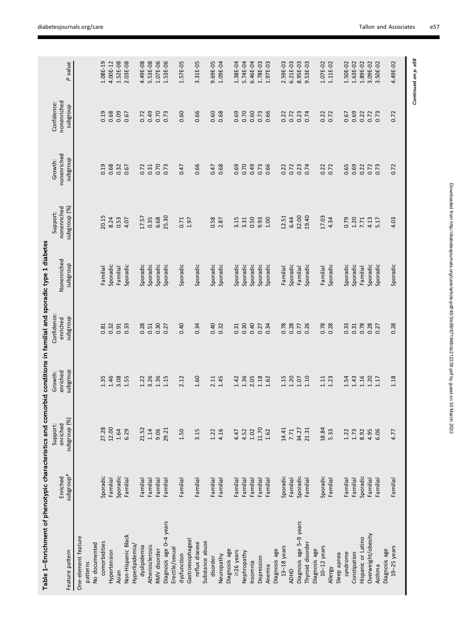| Table 1–Enrichment of phenotypic characteristics and comorbid conditions in familial and sporadic type 1 diabetes |                       |                                      |                                 |                                     |                         |                                         |                                    |                                        |              |
|-------------------------------------------------------------------------------------------------------------------|-----------------------|--------------------------------------|---------------------------------|-------------------------------------|-------------------------|-----------------------------------------|------------------------------------|----------------------------------------|--------------|
| Feature pattern                                                                                                   | subgroup*<br>Enriched | subgroup (%)<br>enriched<br>Support: | dnougqns<br>enriched<br>Growth: | Confidence:<br>dnougans<br>enriched | Nonenriched<br>dnougqns | subgroup (%)<br>nonenriched<br>Support: | nonenriched<br>dnougqns<br>Growth: | nonenriched<br>Confidence:<br>dnougqns | P value      |
|                                                                                                                   |                       |                                      |                                 |                                     |                         |                                         |                                    |                                        |              |
| One-element feature                                                                                               |                       |                                      |                                 |                                     |                         |                                         |                                    |                                        |              |
| patterns                                                                                                          |                       |                                      |                                 |                                     |                         |                                         |                                    |                                        |              |
| No documented                                                                                                     |                       |                                      |                                 |                                     |                         |                                         |                                    |                                        |              |
| comorbidities                                                                                                     | Sporadic              | 27.28                                | 1.35                            | 0.81                                | Familial                | 20.15                                   | 0.19                               | 0.19                                   | 1.08E-19     |
| Hypertension                                                                                                      | Familial              | 12.00                                | 1.46                            | 0.32                                | Sporadic                | 8.24                                    | 0.68                               | 0.68                                   | 4.00E-12     |
| Asian                                                                                                             | Sporadic              | 1.64                                 | 3.08                            | 0.91                                | Familial                | 0.53                                    | 0.32                               | 0.09                                   | 1.52E-08     |
| Non-Hispanic Black                                                                                                | Familia               | 6.29                                 | 1.55                            | 0.33                                | Sporadic                | 4.07                                    | 0.67                               | 0.67                                   | 2.03E-08     |
| Hyperlipidemia                                                                                                    |                       |                                      |                                 |                                     |                         |                                         |                                    |                                        |              |
| dyslipidemia                                                                                                      | Familial              | 21.52                                | 1.22                            | 0.28                                | Sporadic                | 17.57                                   | 0.72                               | 0.72                                   | 4.49E-08     |
| Atherosclerosis                                                                                                   | Familia               | $1.14$                               | 3.26                            | 0.51                                | Sporadic                | 0.35                                    | 0.31                               | 0.49                                   | 5.53E-08     |
| RMV disorder                                                                                                      | Familia               | 9.06                                 | 1.36                            | 0.30                                | Sporadic                | 6.68                                    | 0.70                               | 0.70                                   | 1.07E-06     |
| Diagnosis age 0-4 years                                                                                           | Familial              | 29.21                                | 1.15                            | 0.27                                | Sporadic                | 25.30                                   | 0.73                               | 0.73                                   | 1.53E-06     |
| Erectile/sexual                                                                                                   |                       |                                      |                                 |                                     |                         |                                         |                                    |                                        |              |
| dysfunction                                                                                                       | Familia               | 1.50                                 | 2.12                            | 0.40                                | Sporadic                | 0.71                                    | 0.47                               | 0.60                                   | 1.57E-05     |
| Gastroesophageal                                                                                                  |                       |                                      |                                 |                                     |                         | 1.97                                    |                                    |                                        |              |
| reflux disease                                                                                                    | Familia               | 3.15                                 | 1.60                            | 0.34                                | Sporadic                |                                         | 0.66                               | 0.66                                   | 3.31E-05     |
| Substance abuse                                                                                                   |                       |                                      |                                 |                                     |                         |                                         |                                    |                                        |              |
| disorder                                                                                                          | Familia               | 1.22                                 | 2.11                            | 0.40                                | Sporadic                | 0.58                                    | 0.47                               | 0.60                                   | 9.69E-05     |
| Neuropathy                                                                                                        | Familia               | 4.16                                 | 1.45                            | 0.32                                | Sporadic                | 2.87                                    | 0.68                               | 0.68                                   | $1.09E - 04$ |
| Diagnosis age                                                                                                     |                       |                                      |                                 |                                     |                         |                                         |                                    |                                        |              |
| $\geq$ 26 years                                                                                                   | Familial              | 4.47                                 | 1.42                            | 0.31                                | Sporadic                | 3.15                                    | 0.69                               | 0.69                                   | 1.38E-04     |
| Nephropathy                                                                                                       | Familia               | 4.52                                 | 1.36                            | 0.30                                | Sporadic                | 3.31                                    | 0.70                               | 0.70                                   | 5.74E-04     |
| Insomnia                                                                                                          | Familia               | $1.02\,$                             | 2.05                            | 0.40                                | Sporadic                | 0.50                                    | 0.49                               | 0.60                                   | 6.46E-04     |
| Depression                                                                                                        | Familia               | 11.70                                | 1.18                            | 0.27                                | Sporadic                | 9.93                                    | 0.73                               | 0.73                                   | 1.78E-03     |
| Anemia                                                                                                            | Familia               | 1.62                                 | 1.62                            | 0.34                                | Sporadic                | 001                                     | 0.66                               | 0.66                                   | 1.97E-03     |
| Diagnosis age                                                                                                     |                       |                                      |                                 |                                     |                         |                                         |                                    |                                        |              |
| 13-18 years                                                                                                       | Sporadic              | 14.41                                | 1.15                            | 0.78                                | <b>Familial</b>         | 12.51                                   | 0.22                               | 0.22                                   | 2.59E-03     |
| <b>ADHD</b>                                                                                                       | Familial              | 7.71                                 | 1.20                            | 0.28                                | Sporadic                | 6.44                                    | 0.72                               | 0.72                                   | 6.21E-03     |
| Diagnosis age 5-9 years                                                                                           | Sporadic              | 34.27                                | 1.07                            | 0.77                                | Familia                 | 32.00                                   | 0.23                               | 0.23                                   | 8.95E-03     |
| Thyroid disorder                                                                                                  | Familia               | 21.31                                | 1.10                            | 0.26                                | Sporadic                | 19.40                                   | 0.74                               | 0.74                                   | 9.53E-03     |
| Diagnosis age                                                                                                     |                       |                                      |                                 |                                     |                         |                                         |                                    |                                        |              |
| $10-12$ years                                                                                                     | Sporadic              | 18.84                                | 1.11                            | 0.78                                | Familial                | 17.03                                   | 0.22                               | 0.22                                   | 1.07E-02     |
| Allergy                                                                                                           | Familia               | 5.33                                 | 1.23                            | 0.28                                | Sporadic                | 4.34                                    | 0.72                               | 0.72                                   | 1.11E-02     |
| Sleep apnea                                                                                                       |                       |                                      |                                 |                                     |                         |                                         |                                    |                                        |              |
| syndrome                                                                                                          | Familial              | 1.22                                 | 1.54                            | 0.33                                | Sporadic                | 0.79                                    | 0.65                               | 0.67                                   | 1.50E-02     |
| Constipation                                                                                                      | Familial              | 1.73                                 | 1.43                            | 0.31                                | Sporadic                | 1.20                                    | 0.69                               | 0.69                                   | 1.63E-02     |
| Hispanic or Latino                                                                                                | Sporadic              | 8.92                                 | 1.16                            | 0.78                                | Familial                | 7.71                                    | 0.22                               | 0.22                                   | 1.89E-02     |
| Overweight/obesity                                                                                                | Familial              | 4.95                                 | 1.20                            | 0.28                                | Sporadic                | 4.13                                    | 0.72                               | 0.72                                   | 3.09E-02     |
| Asthma                                                                                                            | Familial              | 6.06                                 | 1.17                            | 0.27                                | Sporadic                | 5.17                                    | 0.73                               | 0.73                                   | 3.50E-02     |
| Diagnosis age                                                                                                     |                       |                                      |                                 |                                     |                         |                                         |                                    |                                        |              |
| $19 - 25$ years                                                                                                   | Familial              | 4.77                                 | 1.18                            | 0.28                                | Sporadic                | 4.03                                    | 0.72                               | 0.72                                   | 4.49E-02     |
|                                                                                                                   |                       |                                      |                                 |                                     |                         |                                         |                                    |                                        |              |

Continued on p. e58 Continued on p. e58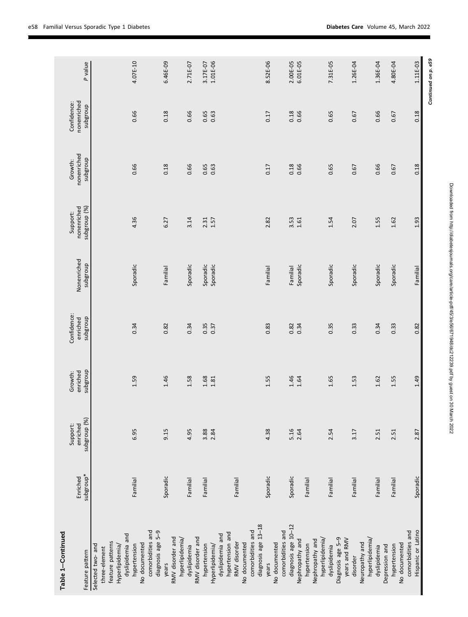| Table 1-Continued   |                 |                      |                     |                         |             |                         |                        |                            |                     |
|---------------------|-----------------|----------------------|---------------------|-------------------------|-------------|-------------------------|------------------------|----------------------------|---------------------|
|                     | Enriched        | enriched<br>Support: | enriched<br>Growth: | Confidence:<br>enriched | Nonenriched | nonenriched<br>Support: | nonenriched<br>Growth: | nonenriched<br>Confidence: |                     |
| Feature pattern     | *subgroup       | subgroup (%)         | dnougqns            | anougans                | anoaBqns    | subgroup (%)            | anougqns               | dnougqns                   | P value             |
| Selected two- and   |                 |                      |                     |                         |             |                         |                        |                            |                     |
| three-element       |                 |                      |                     |                         |             |                         |                        |                            |                     |
| feature patterns    |                 |                      |                     |                         |             |                         |                        |                            |                     |
| Hyperlipidemia/     |                 |                      |                     |                         |             |                         |                        |                            |                     |
| dyslipidemia and    |                 |                      |                     |                         |             |                         |                        |                            |                     |
| hypertension        | <b>Familial</b> | 6.95                 | 1.59                | 0.34                    | Sporadic    | 4.36                    | 0.66                   | 0.66                       | 4.07E-10            |
| No documented       |                 |                      |                     |                         |             |                         |                        |                            |                     |
| comorbidities and   |                 |                      |                     |                         |             |                         |                        |                            |                     |
| diagnosis age 5-9   |                 |                      |                     |                         |             |                         |                        |                            |                     |
| years               | Sporadic        | 9.15                 | 1.46                | 0.82                    | Familial    | 6.27                    | 0.18                   | 0.18                       | 6.46E-09            |
| RMV disorder and    |                 |                      |                     |                         |             |                         |                        |                            |                     |
| hyperlipidemia      |                 |                      |                     |                         |             |                         |                        |                            |                     |
| dyslipidemia        | Familial        | 4.95                 | 1.58                | 0.34                    | Sporadic    | 3.14                    | 0.66                   | 0.66                       | 2.71E-07            |
| RMV disorder and    |                 |                      |                     |                         |             |                         |                        |                            |                     |
| hypertension        | Familial        | 3.88                 | 1.68                | 0.35                    | Sporadic    | 2.31                    | 0.65                   | 0.65                       | 3.17E-07            |
| Hyperlipidemia/     |                 | 2.84                 | 1.81                | 0.37                    | Sporadic    | 1.57                    | 0.63                   | 0.63                       | 1.01E-06            |
| dyslipidemia and    |                 |                      |                     |                         |             |                         |                        |                            |                     |
| hypertension and    |                 |                      |                     |                         |             |                         |                        |                            |                     |
| RMV disorder        | Familial        |                      |                     |                         |             |                         |                        |                            |                     |
| No documented       |                 |                      |                     |                         |             |                         |                        |                            |                     |
| comorbidities and   |                 |                      |                     |                         |             |                         |                        |                            |                     |
| diagnosis age 13-18 |                 |                      |                     |                         |             |                         |                        |                            |                     |
| years               | Sporadic        | 4.38                 | 1.55                | 0.83                    | Familial    | 2.82                    | 0.17                   | 0.17                       | 8.52E-06            |
| No documented       |                 |                      |                     |                         |             |                         |                        |                            |                     |
| comorbidities and   |                 |                      |                     |                         |             |                         |                        |                            |                     |
| diagnosis age 10-12 | Sporadic        | 5.16                 | 1.46                | 0.82                    | Familial    | 3.53                    | 0.18                   | 0.18                       | 2.00E-05            |
| Nephropathy and     |                 | 2.64                 | 1.64                | 0.34                    | Sporadic    | $1.61$                  | 0.66                   | 0.66                       | 6.01E-05            |
| hypertension        | Familial        |                      |                     |                         |             |                         |                        |                            |                     |
| Nephropathy and     |                 |                      |                     |                         |             |                         |                        |                            |                     |
| hyperlipidemia/     |                 |                      |                     |                         |             |                         |                        |                            |                     |
| dyslipidemia        | Familial        | 2.54                 | 1.65                | 0.35                    | Sporadic    | 1.54                    | 0.65                   | 0.65                       | 7.31E-05            |
| Diagnosis age 5-9   |                 |                      |                     |                         |             |                         |                        |                            |                     |
| years and RMV       |                 |                      |                     |                         |             |                         |                        |                            |                     |
| disorder            | Familial        | 3.17                 | 1.53                | 0.33                    | Sporadic    | 2.07                    | 0.67                   | 0.67                       | 1.26E-04            |
| Neuropathy and      |                 |                      |                     |                         |             |                         |                        |                            |                     |
| hyperlipidemia/     |                 |                      |                     |                         |             |                         |                        |                            |                     |
| dyslipidemia        | Familial        | 2.51                 | 1.62                | 0.34                    | Sporadic    | 1.55                    | 0.66                   | 0.66                       | 1.36E-04            |
| Depression and      |                 |                      |                     |                         |             |                         |                        |                            |                     |
| hypertension        | Familial        | 2.51                 | 1.55                | 0.33                    | Sporadic    | 1.62                    | 0.67                   | 0.67                       | 4.80E-04            |
| No documented       |                 |                      |                     |                         |             |                         |                        |                            |                     |
| comorbidities and   |                 |                      |                     |                         |             |                         |                        |                            |                     |
| Hispanic or Latino  | Sporadic        | 2.87                 | 1.49                | 0.82                    | Familial    | 1.93                    | 0.18                   | 0.18                       | 1.11E-03            |
|                     |                 |                      |                     |                         |             |                         |                        |                            | Continued on p. e59 |